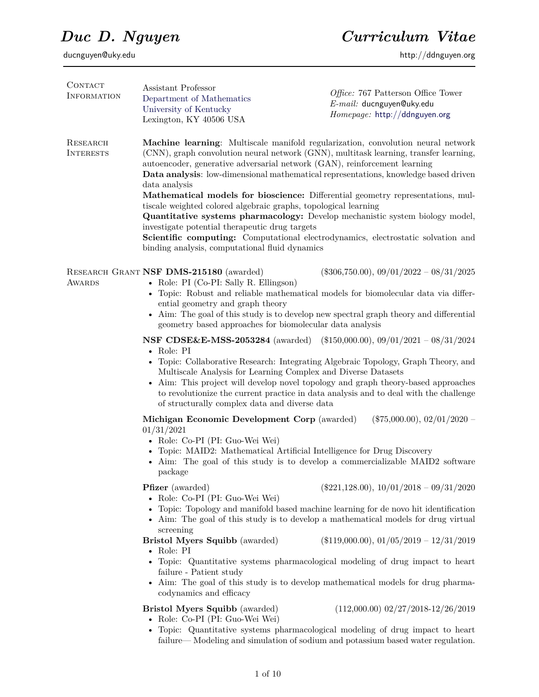| CONTACT<br>INFORMATION              | Assistant Professor<br>Department of Mathematics<br>University of Kentucky<br>Lexington, KY 40506 USA                                                                                                                                                                                                                                                                                                                                                                                           | Office: 767 Patterson Office Tower<br>E-mail: ducnguyen@uky.edu<br>Homepage: http://ddnguyen.org                                                                                                                                                                                                                                                                                                                                                                                                                        |  |
|-------------------------------------|-------------------------------------------------------------------------------------------------------------------------------------------------------------------------------------------------------------------------------------------------------------------------------------------------------------------------------------------------------------------------------------------------------------------------------------------------------------------------------------------------|-------------------------------------------------------------------------------------------------------------------------------------------------------------------------------------------------------------------------------------------------------------------------------------------------------------------------------------------------------------------------------------------------------------------------------------------------------------------------------------------------------------------------|--|
| <b>RESEARCH</b><br><b>INTERESTS</b> | autoencoder, generative adversarial network (GAN), reinforcement learning<br>data analysis<br>tiscale weighted colored algebraic graphs, topological learning<br>investigate potential therapeutic drug targets<br>binding analysis, computational fluid dynamics                                                                                                                                                                                                                               | Machine learning: Multiscale manifold regularization, convolution neural network<br>(CNN), graph convolution neural network (GNN), multitask learning, transfer learning,<br>Data analysis: low-dimensional mathematical representations, knowledge based driven<br>Mathematical models for bioscience: Differential geometry representations, mul-<br>Quantitative systems pharmacology: Develop mechanistic system biology model,<br>Scientific computing: Computational electrodynamics, electrostatic solvation and |  |
| AWARDS                              | RESEARCH GRANT NSF DMS-215180 (awarded)<br>• Role: PI (Co-PI: Sally R. Ellingson)<br>ential geometry and graph theory<br>geometry based approaches for biomolecular data analysis                                                                                                                                                                                                                                                                                                               | $(\$306,750.00), 09/01/2022 - 08/31/2025$<br>• Topic: Robust and reliable mathematical models for biomolecular data via differ-<br>• Aim: The goal of this study is to develop new spectral graph theory and differential                                                                                                                                                                                                                                                                                               |  |
|                                     | <b>NSF CDSE&amp;E-MSS-2053284</b> (awarded) (\$150,000.00), 09/01/2021 - 08/31/2024<br>$\bullet$ Role: PI<br>• Topic: Collaborative Research: Integrating Algebraic Topology, Graph Theory, and<br>Multiscale Analysis for Learning Complex and Diverse Datasets<br>• Aim: This project will develop novel topology and graph theory-based approaches<br>to revolutionize the current practice in data analysis and to deal with the challenge<br>of structurally complex data and diverse data |                                                                                                                                                                                                                                                                                                                                                                                                                                                                                                                         |  |
|                                     | Michigan Economic Development Corp (awarded)<br>01/31/2021<br>• Role: Co-PI (PI: Guo-Wei Wei)<br>• Topic: MAID2: Mathematical Artificial Intelligence for Drug Discovery<br>package                                                                                                                                                                                                                                                                                                             | $(\$75,000.00), 02/01/2020 -$<br>• Aim: The goal of this study is to develop a commercializable MAID2 software                                                                                                                                                                                                                                                                                                                                                                                                          |  |
|                                     | <b>Pfizer</b> (awarded)<br>• Role: Co-PI (PI: Guo-Wei Wei)                                                                                                                                                                                                                                                                                                                                                                                                                                      | $(\$221,128.00), 10/01/2018 - 09/31/2020$<br>• Topic: Topology and manifold based machine learning for de novo hit identification<br>• Aim: The goal of this study is to develop a mathematical models for drug virtual                                                                                                                                                                                                                                                                                                 |  |
|                                     | screening<br><b>Bristol Myers Squibb</b> (awarded)<br>• Role: PI<br>failure - Patient study<br>codynamics and efficacy                                                                                                                                                                                                                                                                                                                                                                          | $(\$119,000.00), 01/05/2019 - 12/31/2019$<br>• Topic: Quantitative systems pharmacological modeling of drug impact to heart<br>• Aim: The goal of this study is to develop mathematical models for drug pharma-                                                                                                                                                                                                                                                                                                         |  |
|                                     | <b>Bristol Myers Squibb</b> (awarded)<br>• Role: Co-PI (PI: Guo-Wei Wei)                                                                                                                                                                                                                                                                                                                                                                                                                        | $(112,000.00)$ 02/27/2018-12/26/2019<br>• Topic: Quantitative systems pharmacological modeling of drug impact to heart<br>failure—Modeling and simulation of sodium and potassium based water regulation.                                                                                                                                                                                                                                                                                                               |  |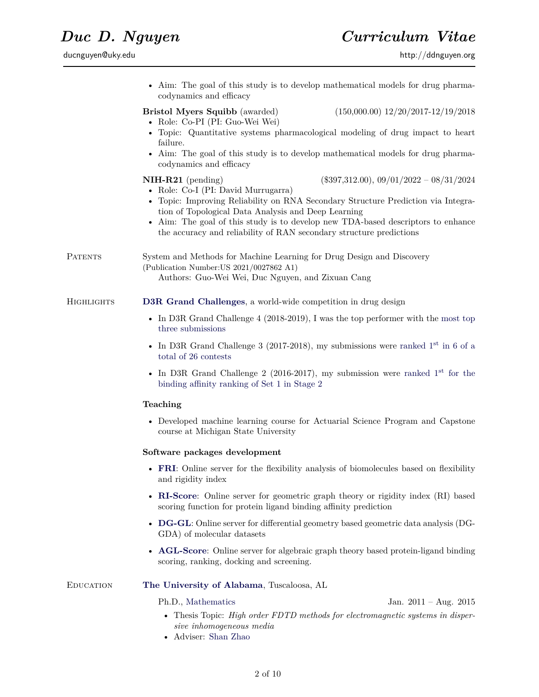|            | • Aim: The goal of this study is to develop mathematical models for drug pharma-<br>codynamics and efficacy                                                                                                                                                                                                                           |
|------------|---------------------------------------------------------------------------------------------------------------------------------------------------------------------------------------------------------------------------------------------------------------------------------------------------------------------------------------|
|            | $(150,000.00)$ $12/20/2017-12/19/2018$<br>Bristol Myers Squibb (awarded)<br>• Role: Co-PI (PI: Guo-Wei Wei)                                                                                                                                                                                                                           |
|            | • Topic: Quantitative systems pharmacological modeling of drug impact to heart<br>failure.                                                                                                                                                                                                                                            |
|            | • Aim: The goal of this study is to develop mathematical models for drug pharma-<br>codynamics and efficacy                                                                                                                                                                                                                           |
|            | $(\$397,312.00), 09/01/2022 - 08/31/2024$<br>$NIH-R21$ (pending)<br>• Role: Co-I (PI: David Murrugarra)<br>• Topic: Improving Reliability on RNA Secondary Structure Prediction via Integra-<br>tion of Topological Data Analysis and Deep Learning<br>Aim: The goal of this study is to develop new TDA-based descriptors to enhance |
|            | the accuracy and reliability of RAN secondary structure predictions                                                                                                                                                                                                                                                                   |
| PATENTS    | System and Methods for Machine Learning for Drug Design and Discovery<br>(Publication Number: US 2021/0027862 A1)<br>Authors: Guo-Wei Wei, Duc Nguyen, and Zixuan Cang                                                                                                                                                                |
| HIGHLIGHTS | D3R Grand Challenges, a world-wide competition in drug design                                                                                                                                                                                                                                                                         |
|            | • In D3R Grand Challenge $4$ (2018-2019), I was the top performer with the most top<br>three submissions                                                                                                                                                                                                                              |
|            | • In D3R Grand Challenge 3 (2017-2018), my submissions were ranked $1st$ in 6 of a<br>total of 26 contests                                                                                                                                                                                                                            |
|            | • In D3R Grand Challenge 2 (2016-2017), my submission were ranked $1st$ for the<br>binding affinity ranking of Set 1 in Stage 2                                                                                                                                                                                                       |
|            | Teaching                                                                                                                                                                                                                                                                                                                              |
|            | • Developed machine learning course for Actuarial Science Program and Capstone<br>course at Michigan State University                                                                                                                                                                                                                 |
|            | Software packages development                                                                                                                                                                                                                                                                                                         |
|            | FRI: Online server for the flexibility analysis of biomolecules based on flexibility<br>and rigidity index                                                                                                                                                                                                                            |
|            | • RI-Score: Online server for geometric graph theory or rigidity index (RI) based<br>scoring function for protein ligand binding affinity prediction                                                                                                                                                                                  |
|            | • DG-GL: Online server for differential geometry based geometric data analysis (DG-<br>GDA) of molecular datasets                                                                                                                                                                                                                     |
|            | <b>AGL-Score:</b> Online server for algebraic graph theory based protein-ligand binding<br>scoring, ranking, docking and screening.                                                                                                                                                                                                   |
| EDUCATION  | The University of Alabama, Tuscaloosa, AL                                                                                                                                                                                                                                                                                             |
|            | Ph.D., Mathematics<br>Jan. $2011 - Aug. 2015$                                                                                                                                                                                                                                                                                         |
|            | • Thesis Topic: High order FDTD methods for electromagnetic systems in disper-<br>sive inhomogeneous media                                                                                                                                                                                                                            |

• Adviser: [Shan Zhao](http://www.bama.ua.edu/~szhao/)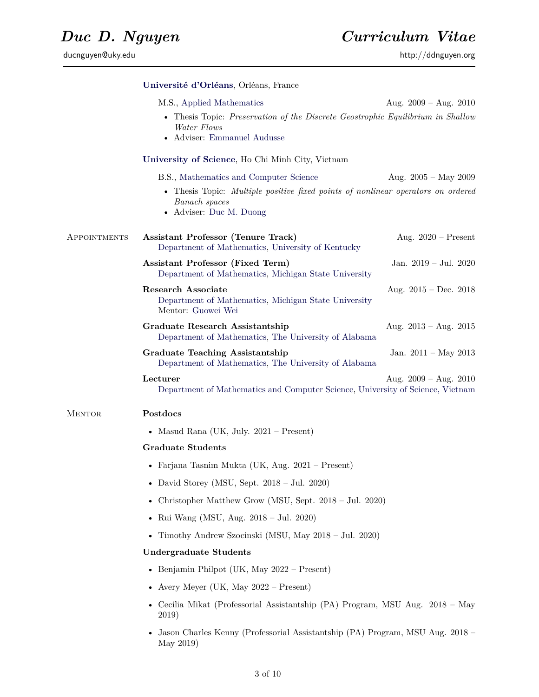ducnguyen@uky.edu http://ddnguyen.org

|               | Université d'Orléans, Orléans, France                                                                                                                                  |                         |  |
|---------------|------------------------------------------------------------------------------------------------------------------------------------------------------------------------|-------------------------|--|
|               | M.S., Applied Mathematics<br>• Thesis Topic: Preservation of the Discrete Geostrophic Equilibrium in Shallow<br>Water Flows<br>• Adviser: Emmanuel Audusse             | Aug. $2009 - Aug. 2010$ |  |
|               | University of Science, Ho Chi Minh City, Vietnam                                                                                                                       |                         |  |
|               | B.S., Mathematics and Computer Science<br>• Thesis Topic: Multiple positive fixed points of nonlinear operators on ordered<br>Banach spaces<br>• Adviser: Duc M. Duong | Aug. $2005 - May 2009$  |  |
| APPOINTMENTS  | <b>Assistant Professor (Tenure Track)</b><br>Department of Mathematics, University of Kentucky                                                                         | Aug. $2020$ – Present   |  |
|               | Assistant Professor (Fixed Term)<br>Department of Mathematics, Michigan State University                                                                               | Jan. 2019 – Jul. 2020   |  |
|               | <b>Research Associate</b><br>Department of Mathematics, Michigan State University<br>Mentor: Guowei Wei                                                                | Aug. $2015 - Dec. 2018$ |  |
|               | Graduate Research Assistantship<br>Department of Mathematics, The University of Alabama                                                                                | Aug. $2013 - Aug. 2015$ |  |
|               | <b>Graduate Teaching Assistantship</b><br>Department of Mathematics, The University of Alabama                                                                         | Jan. $2011 - May 2013$  |  |
|               | Lecturer<br>Department of Mathematics and Computer Science, University of Science, Vietnam                                                                             | Aug. $2009 - Aug. 2010$ |  |
| <b>MENTOR</b> | Postdocs                                                                                                                                                               |                         |  |
|               | • Masud Rana (UK, July. $2021 -$ Present)                                                                                                                              |                         |  |
|               | <b>Graduate Students</b>                                                                                                                                               |                         |  |
|               | • Farjana Tasnim Mukta (UK, Aug. $2021 -$ Present)                                                                                                                     |                         |  |
|               | • David Storey (MSU, Sept. $2018 - \text{Jul. } 2020$ )                                                                                                                |                         |  |
|               | • Christopher Matthew Grow (MSU, Sept. $2018 - \text{Jul. } 2020$ )                                                                                                    |                         |  |
|               | • Rui Wang (MSU, Aug. 2018 – Jul. 2020)                                                                                                                                |                         |  |
|               | Timothy Andrew Szocinski (MSU, May 2018 – Jul. 2020)                                                                                                                   |                         |  |
|               | <b>Undergraduate Students</b>                                                                                                                                          |                         |  |
|               | • Benjamin Philpot (UK, May $2022 -$ Present)                                                                                                                          |                         |  |
|               | • Avery Meyer (UK, May $2022 -$ Present)                                                                                                                               |                         |  |
|               | Cecilia Mikat (Professorial Assistantship (PA) Program, MSU Aug. 2018 - May<br>2019)                                                                                   |                         |  |
|               | Jason Charles Kenny (Professorial Assistantship (PA) Program, MSU Aug. 2018 –<br>May 2019)                                                                             |                         |  |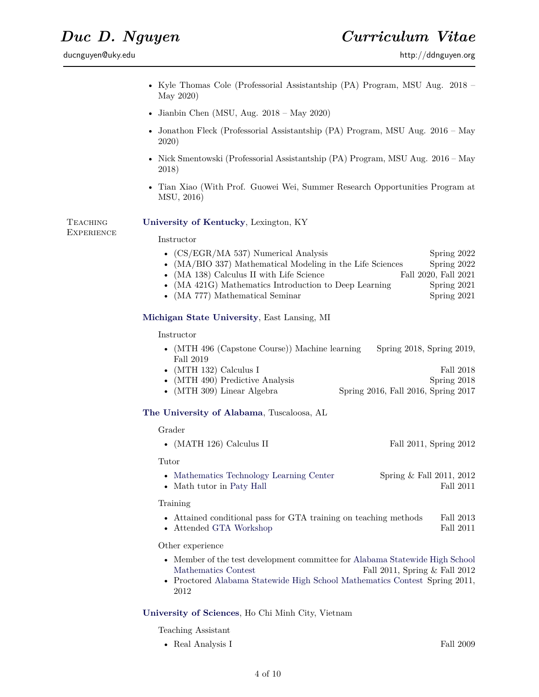ducnguyen@uky.edu http://ddnguyen.org

- Kyle Thomas Cole (Professorial Assistantship (PA) Program, MSU Aug. 2018 May 2020)
- Jianbin Chen (MSU, Aug.  $2018 May 2020$ )
- Jonathon Fleck (Professorial Assistantship (PA) Program, MSU Aug. 2016 May 2020)
- Nick Smentowski (Professorial Assistantship (PA) Program, MSU Aug. 2016 May 2018)
- Tian Xiao (With Prof. Guowei Wei, Summer Research Opportunities Program at MSU, 2016)

**TEACHING EXPERIENCE**  **[University of Kentucky](http://msu.edu/)**, Lexington, KY

Instructor

| • $(CS/EGR/MA 537)$ Numerical Analysis                      | Spring 2022          |
|-------------------------------------------------------------|----------------------|
| • $(MA/BIO 337)$ Mathematical Modeling in the Life Sciences | Spring 2022          |
| $\bullet$ (MA 138) Calculus II with Life Science            | Fall 2020, Fall 2021 |
| • (MA 421G) Mathematics Introduction to Deep Learning       | Spring $2021$        |
| • (MA 777) Mathematical Seminar                             | Spring 2021          |
| Michigan State University, East Lansing, MI                 |                      |

Instructor

• (MTH 496 (Capstone Course)) Machine learning Spring 2018, Spring 2019, Fall 2019

| • (MTH 132) Calculus I                                                                                                                                                                                                                                                                                                                                                                        |  | Fall 2018   |
|-----------------------------------------------------------------------------------------------------------------------------------------------------------------------------------------------------------------------------------------------------------------------------------------------------------------------------------------------------------------------------------------------|--|-------------|
| • $(MTH 490)$ Predictive Analysis                                                                                                                                                                                                                                                                                                                                                             |  | Spring 2018 |
| $(\lambda$ (THE $\Omega$ ) $\Omega$ $\lambda$ i $\lambda$ i $\lambda$ i $\lambda$ i $\lambda$ i $\lambda$ i $\lambda$ i $\lambda$ i $\lambda$ i $\lambda$ i $\lambda$ i $\lambda$ i $\lambda$ i $\lambda$ i $\lambda$ i $\lambda$ i $\lambda$ i $\lambda$ i $\lambda$ i $\lambda$ i $\lambda$ i $\lambda$ i $\lambda$ i $\lambda$ i $\lambda$ i $\lambda$ i $\lambda$ i $\lambda$ i $\lambda$ |  |             |

• (MTH 309) Linear Algebra Spring 2016, Fall 2016, Spring 2017

### **[The University of Alabama](http://www.ua.edu/)**, Tuscaloosa, AL

Grader

|  |  | $\bullet$ (MATH 126) Calculus II | Fall 2011, Spring 2012 |  |  |
|--|--|----------------------------------|------------------------|--|--|
|--|--|----------------------------------|------------------------|--|--|

Tutor

- [Mathematics Technology Learning Center](http://mtlc.ua.edu/) Spring & Fall 2011, 2012
- Math tutor in [Paty Hall](http://tour.ua.edu/tourstops/paty.html) Fall 2011

Training

- Attained conditional pass for GTA training on teaching methods Fall 2013
- Attended [GTA Workshop](http://services.graduate.ua.edu/events/workshop_gta.html) Fall 2011

Other experience

- Member of the test development committee for [Alabama Statewide High School](http://mcis.jsu.edu/mathcontest/) [Mathematics Contest](http://mcis.jsu.edu/mathcontest/) Fall 2011, Spring & Fall 2012
- Proctored [Alabama Statewide High School Mathematics Contest](http://mcis.jsu.edu/mathcontest/) Spring 2011, 2012

### **[University of Sciences](http://www.hcmus.edu.vn/)**, Ho Chi Minh City, Vietnam

Teaching Assistant

• Real Analysis I Fall 2009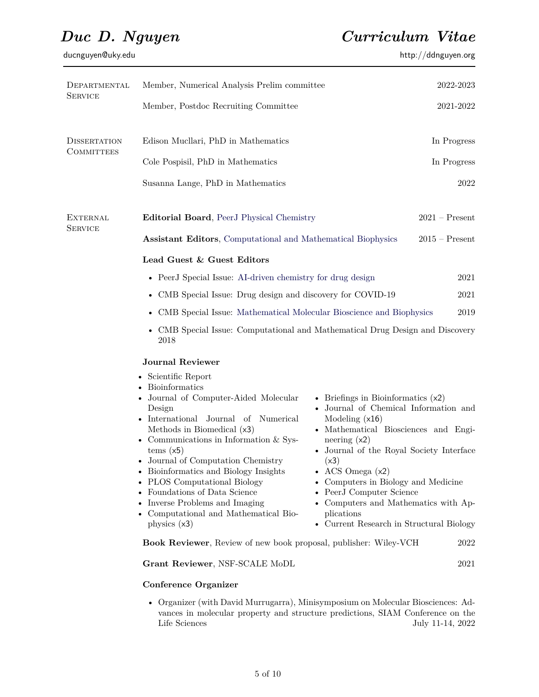ducnguyen@uky.edu http://ddnguyen.org http://ddnguyen.org

| DEPARTMENTAL                      | Member, Numerical Analysis Prelim committee                                                                                                                                                                                                                                                                                                                                                                                                                                             |                                                                                                                                                                                                                                                                                                                                                                                                            | 2022-2023        |
|-----------------------------------|-----------------------------------------------------------------------------------------------------------------------------------------------------------------------------------------------------------------------------------------------------------------------------------------------------------------------------------------------------------------------------------------------------------------------------------------------------------------------------------------|------------------------------------------------------------------------------------------------------------------------------------------------------------------------------------------------------------------------------------------------------------------------------------------------------------------------------------------------------------------------------------------------------------|------------------|
| <b>SERVICE</b>                    | Member, Postdoc Recruiting Committee                                                                                                                                                                                                                                                                                                                                                                                                                                                    |                                                                                                                                                                                                                                                                                                                                                                                                            | 2021-2022        |
| <b>DISSERTATION</b>               | Edison Mucllari, PhD in Mathematics                                                                                                                                                                                                                                                                                                                                                                                                                                                     |                                                                                                                                                                                                                                                                                                                                                                                                            | In Progress      |
| <b>COMMITTEES</b>                 | Cole Pospisil, PhD in Mathematics                                                                                                                                                                                                                                                                                                                                                                                                                                                       |                                                                                                                                                                                                                                                                                                                                                                                                            | In Progress      |
|                                   | Susanna Lange, PhD in Mathematics                                                                                                                                                                                                                                                                                                                                                                                                                                                       |                                                                                                                                                                                                                                                                                                                                                                                                            | 2022             |
| <b>EXTERNAL</b><br><b>SERVICE</b> | Editorial Board, PeerJ Physical Chemistry                                                                                                                                                                                                                                                                                                                                                                                                                                               |                                                                                                                                                                                                                                                                                                                                                                                                            | $2021 -$ Present |
|                                   | <b>Assistant Editors, Computational and Mathematical Biophysics</b>                                                                                                                                                                                                                                                                                                                                                                                                                     |                                                                                                                                                                                                                                                                                                                                                                                                            | $2015$ – Present |
|                                   | Lead Guest & Guest Editors                                                                                                                                                                                                                                                                                                                                                                                                                                                              |                                                                                                                                                                                                                                                                                                                                                                                                            |                  |
|                                   | • PeerJ Special Issue: AI-driven chemistry for drug design                                                                                                                                                                                                                                                                                                                                                                                                                              |                                                                                                                                                                                                                                                                                                                                                                                                            | 2021             |
|                                   | CMB Special Issue: Drug design and discovery for COVID-19                                                                                                                                                                                                                                                                                                                                                                                                                               |                                                                                                                                                                                                                                                                                                                                                                                                            | 2021             |
|                                   | CMB Special Issue: Mathematical Molecular Bioscience and Biophysics<br>2019<br>$\bullet$                                                                                                                                                                                                                                                                                                                                                                                                |                                                                                                                                                                                                                                                                                                                                                                                                            |                  |
|                                   | CMB Special Issue: Computational and Mathematical Drug Design and Discovery<br>2018                                                                                                                                                                                                                                                                                                                                                                                                     |                                                                                                                                                                                                                                                                                                                                                                                                            |                  |
|                                   | <b>Journal Reviewer</b>                                                                                                                                                                                                                                                                                                                                                                                                                                                                 |                                                                                                                                                                                                                                                                                                                                                                                                            |                  |
|                                   | • Scientific Report<br><b>Bioinformatics</b><br>Journal of Computer-Aided Molecular<br>Design<br>$\bullet$ International<br>Journal<br>of Numerical<br>Methods in Biomedical (x3)<br>• Communications in Information $&$ Sys-<br>tems(x5)<br>• Journal of Computation Chemistry<br>• Bioinformatics and Biology Insights<br><b>PLOS</b> Computational Biology<br>Foundations of Data Science<br>Inverse Problems and Imaging<br>• Computational and Mathematical Bio-<br>physics $(x3)$ | • Briefings in Bioinformatics $(x2)$<br>• Journal of Chemical Information and<br>Modeling $(x16)$<br>• Mathematical Biosciences and Engi-<br>neering $(x2)$<br>• Journal of the Royal Society Interface<br>(x3)<br>• ACS Omega $(x2)$<br>• Computers in Biology and Medicine<br>• PeerJ Computer Science<br>• Computers and Mathematics with Ap-<br>plications<br>• Current Research in Structural Biology |                  |
|                                   | Book Reviewer, Review of new book proposal, publisher: Wiley-VCH                                                                                                                                                                                                                                                                                                                                                                                                                        |                                                                                                                                                                                                                                                                                                                                                                                                            | 2022             |
|                                   | Grant Reviewer, NSF-SCALE MoDL                                                                                                                                                                                                                                                                                                                                                                                                                                                          |                                                                                                                                                                                                                                                                                                                                                                                                            | 2021             |
|                                   | <b>Conference Organizer</b>                                                                                                                                                                                                                                                                                                                                                                                                                                                             |                                                                                                                                                                                                                                                                                                                                                                                                            |                  |
|                                   | • Organizer (with David Murrugarra), Minisymposium on Molecular Biosciences: Ad-                                                                                                                                                                                                                                                                                                                                                                                                        |                                                                                                                                                                                                                                                                                                                                                                                                            |                  |

vances in molecular property and structure predictions, SIAM Conference on the Life Sciences July 11-14, 2022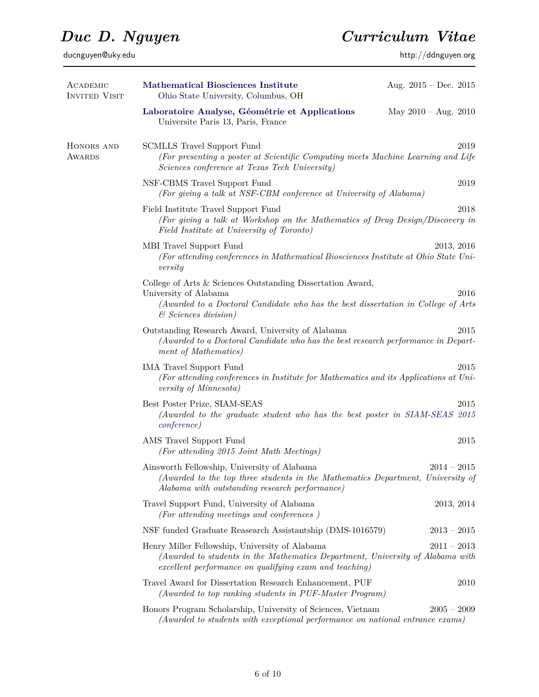ducnguyen@uky.edu http://ddnguyen.org

| ACADEMIC<br><b>INVITED VISIT</b> | Mathematical Biosciences Institute<br>Ohio State University, Columbus, OH                                                                                                                                   | Aug. $2015 - Dec. 2015$ |
|----------------------------------|-------------------------------------------------------------------------------------------------------------------------------------------------------------------------------------------------------------|-------------------------|
|                                  | Laboratoire Analyse, Géométrie et Applications<br>Universite Paris 13, Paris, France                                                                                                                        | May $2010 - Aug. 2010$  |
| HONORS AND<br>Awards             | <b>SCMLLS Travel Support Fund</b><br>(For presenting a poster at Scientific Computing meets Machine Learning and Life<br>Sciences conference at Texas Tech University)                                      | 2019                    |
|                                  | NSF-CBMS Travel Support Fund<br>(For giving a talk at NSF-CBM conference at University of Alabama)                                                                                                          | $\,2019$                |
|                                  | Field Institute Travel Support Fund<br>(For giving a talk at Workshop on the Mathematics of Drug Design/Discovery in<br>Field Institute at University of Toronto)                                           | 2018                    |
|                                  | MBI Travel Support Fund<br>(For attending conferences in Mathematical Biosciences Institute at Ohio State Uni-<br>versity                                                                                   | 2013, 2016              |
|                                  | College of Arts & Sciences Outstanding Dissertation Award,<br>University of Alabama<br>(Awarded to a Doctoral Candidate who has the best dissertation in College of Arts<br>$\mathcal C$ Sciences division) | 2016                    |
|                                  | Outstanding Research Award, University of Alabama<br>(Awarded to a Doctoral Candidate who has the best research performance in Depart-<br>ment of Mathematics)                                              | 2015                    |
|                                  | <b>IMA Travel Support Fund</b><br>(For attending conferences in Institute for Mathematics and its Applications at Uni-<br><i>versity of Minnesota</i> )                                                     | 2015                    |
|                                  | Best Poster Prize, SIAM-SEAS<br>(Awarded to the graduate student who has the best poster in SIAM-SEAS 2015<br><i>conference</i> )                                                                           | 2015                    |
|                                  | AMS Travel Support Fund<br>(For attending 2015 Joint Math Meetings)                                                                                                                                         | 2015                    |
|                                  | Ainsworth Fellowship, University of Alabama<br>(Awarded to the top three students in the Mathematics Department, University of<br>Alabama with outstanding research performance)                            | $2014 - 2015$           |
|                                  | Travel Support Fund, University of Alabama<br>(For attending meetings and conferences)                                                                                                                      | 2013, 2014              |
|                                  | NSF funded Graduate Reasearch Assistantship (DMS-1016579)                                                                                                                                                   | $2013 - 2015$           |
|                                  | Henry Miller Fellowship, University of Alabama<br>(Awarded to students in the Mathematics Department, University of Alabama with<br>excellent performance on qualifying exam and teaching)                  | $2011 - 2013$           |
|                                  | Travel Award for Dissertation Research Enhancement, PUF<br>(Awarded to top ranking students in PUF-Master Program)                                                                                          | 2010                    |
|                                  | Honors Program Scholarship, University of Sciences, Vietnam<br>(Awarded to students with exceptional performance on national entrance exams)                                                                | $2005 - 2009$           |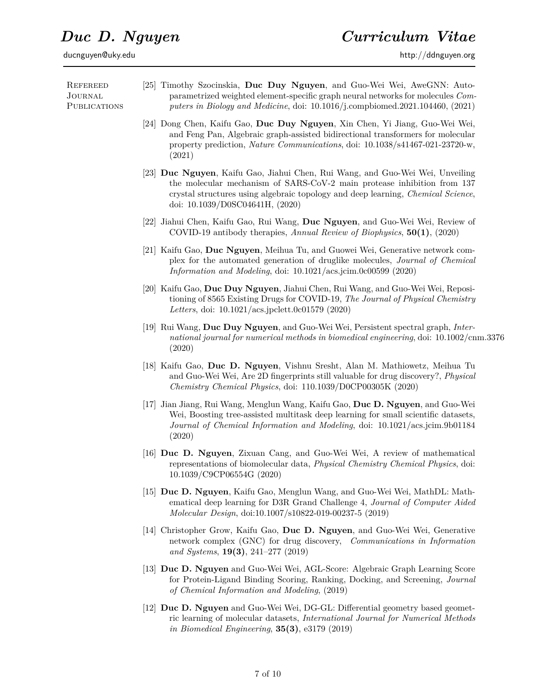**REFEREED** Journal **PUBLICATIONS** [25] Timothy Szocinskia, **Duc Duy Nguyen**, and Guo-Wei Wei, AweGNN: Autoparametrized weighted element-specific graph neural networks for molecules *Computers in Biology and Medicine*, doi: 10.1016/j.compbiomed.2021.104460, (2021) [24] Dong Chen, Kaifu Gao, **Duc Duy Nguyen**, Xin Chen, Yi Jiang, Guo-Wei Wei, and Feng Pan, Algebraic graph-assisted bidirectional transformers for molecular property prediction, *Nature Communications*, doi: 10.1038/s41467-021-23720-w, (2021) [23] **Duc Nguyen**, Kaifu Gao, Jiahui Chen, Rui Wang, and Guo-Wei Wei, Unveiling the molecular mechanism of SARS-CoV-2 main protease inhibition from 137 crystal structures using algebraic topology and deep learning, *Chemical Science*, doi: 10.1039/D0SC04641H, (2020) [22] Jiahui Chen, Kaifu Gao, Rui Wang, **Duc Nguyen**, and Guo-Wei Wei, Review of COVID-19 antibody therapies, *Annual Review of Biophysics*, **50(1)**, (2020) [21] Kaifu Gao, **Duc Nguyen**, Meihua Tu, and Guowei Wei, Generative network complex for the automated generation of druglike molecules, *Journal of Chemical Information and Modeling*, doi: 10.1021/acs.jcim.0c00599 (2020) [20] Kaifu Gao, **Duc Duy Nguyen**, Jiahui Chen, Rui Wang, and Guo-Wei Wei, Repositioning of 8565 Existing Drugs for COVID-19, *The Journal of Physical Chemistry Letters*, doi: 10.1021/acs.jpclett.0c01579 (2020) [19] Rui Wang, **Duc Duy Nguyen**, and Guo-Wei Wei, Persistent spectral graph, *International journal for numerical methods in biomedical engineering*, doi: 10.1002/cnm.3376 (2020) [18] Kaifu Gao, **Duc D. Nguyen**, Vishnu Sresht, Alan M. Mathiowetz, Meihua Tu and Guo-Wei Wei, Are 2D fingerprints still valuable for drug discovery?, *Physical Chemistry Chemical Physics*, doi: 110.1039/D0CP00305K (2020) [17] Jian Jiang, Rui Wang, Menglun Wang, Kaifu Gao, **Duc D. Nguyen**, and Guo-Wei Wei, Boosting tree-assisted multitask deep learning for small scientific datasets, *Journal of Chemical Information and Modeling*, doi: 10.1021/acs.jcim.9b01184 (2020) [16] **Duc D. Nguyen**, Zixuan Cang, and Guo-Wei Wei, A review of mathematical representations of biomolecular data, *Physical Chemistry Chemical Physics*, doi: 10.1039/C9CP06554G (2020) [15] **Duc D. Nguyen**, Kaifu Gao, Menglun Wang, and Guo-Wei Wei, MathDL: Mathematical deep learning for D3R Grand Challenge 4, *Journal of Computer Aided Molecular Design*, doi:10.1007/s10822-019-00237-5 (2019) [14] Christopher Grow, Kaifu Gao, **Duc D. Nguyen**, and Guo-Wei Wei, Generative network complex (GNC) for drug discovery, *Communications in Information and Systems*, **19(3)**, 241–277 (2019) [13] **Duc D. Nguyen** and Guo-Wei Wei, AGL-Score: Algebraic Graph Learning Score for Protein-Ligand Binding Scoring, Ranking, Docking, and Screening, *Journal of Chemical Information and Modeling*, (2019) [12] **Duc D. Nguyen** and Guo-Wei Wei, DG-GL: Differential geometry based geometric learning of molecular datasets, *International Journal for Numerical Methods in Biomedical Engineering*, **35(3)**, e3179 (2019)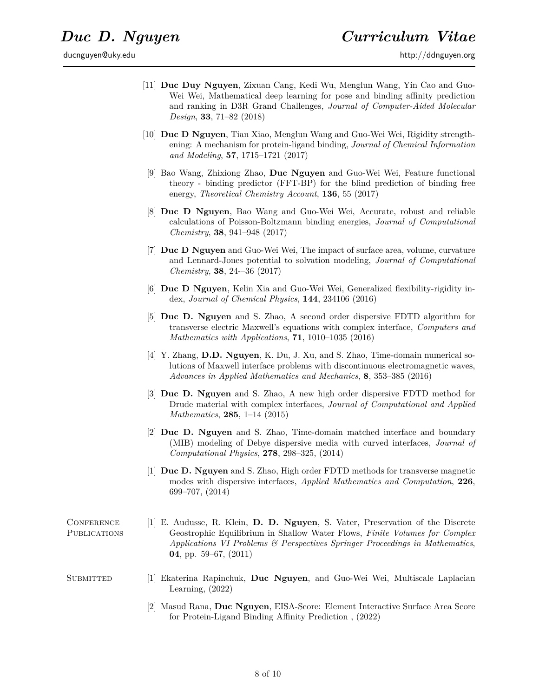ducnguyen@uky.edu http://ddnguyen.org

- [11] **Duc Duy Nguyen**, Zixuan Cang, Kedi Wu, Menglun Wang, Yin Cao and Guo-Wei Wei, Mathematical deep learning for pose and binding affinity prediction and ranking in D3R Grand Challenges, *Journal of Computer-Aided Molecular Design*, **33**, 71–82 (2018)
- [10] **Duc D Nguyen**, Tian Xiao, Menglun Wang and Guo-Wei Wei, Rigidity strengthening: A mechanism for protein-ligand binding, *Journal of Chemical Information and Modeling*, **57**, 1715–1721 (2017)
- [9] Bao Wang, Zhixiong Zhao, **Duc Nguyen** and Guo-Wei Wei, Feature functional theory - binding predictor (FFT-BP) for the blind prediction of binding free energy, *Theoretical Chemistry Account*, **136**, 55 (2017)
- [8] **Duc D Nguyen**, Bao Wang and Guo-Wei Wei, Accurate, robust and reliable calculations of Poisson-Boltzmann binding energies, *Journal of Computational Chemistry*, **38**, 941–948 (2017)
- [7] **Duc D Nguyen** and Guo-Wei Wei, The impact of surface area, volume, curvature and Lennard-Jones potential to solvation modeling, *Journal of Computational Chemistry*, **38**, 24-–36 (2017)
- [6] **Duc D Nguyen**, Kelin Xia and Guo-Wei Wei, Generalized flexibility-rigidity index, *Journal of Chemical Physics*, **144**, 234106 (2016)
- [5] **Duc D. Nguyen** and S. Zhao, A second order dispersive FDTD algorithm for transverse electric Maxwell's equations with complex interface, *Computers and Mathematics with Applications*, **71**, 1010–1035 (2016)
- [4] Y. Zhang, **D.D. Nguyen**, K. Du, J. Xu, and S. Zhao, Time-domain numerical solutions of Maxwell interface problems with discontinuous electromagnetic waves, *Advances in Applied Mathematics and Mechanics*, **8**, 353–385 (2016)
- [3] **Duc D. Nguyen** and S. Zhao, A new high order dispersive FDTD method for Drude material with complex interfaces, *Journal of Computational and Applied Mathematics*, **285**, 1–14 (2015)
- [2] **Duc D. Nguyen** and S. Zhao, Time-domain matched interface and boundary (MIB) modeling of Debye dispersive media with curved interfaces, *Journal of Computational Physics*, **278**, 298–325, (2014)
- [1] **Duc D. Nguyen** and S. Zhao, High order FDTD methods for transverse magnetic modes with dispersive interfaces, *Applied Mathematics and Computation*, **226**, 699–707, (2014)
- **CONFERENCE PUBLICATIONS** [1] E. Audusse, R. Klein, **D. D. Nguyen**, S. Vater, Preservation of the Discrete Geostrophic Equilibrium in Shallow Water Flows, *Finite Volumes for Complex Applications VI Problems & Perspectives Springer Proceedings in Mathematics*, **04**, pp. 59–67, (2011)
- Submitted [1] Ekaterina Rapinchuk, **Duc Nguyen**, and Guo-Wei Wei, Multiscale Laplacian Learning, (2022)
	- [2] Masud Rana, **Duc Nguyen**, EISA-Score: Element Interactive Surface Area Score for Protein-Ligand Binding Affinity Prediction , (2022)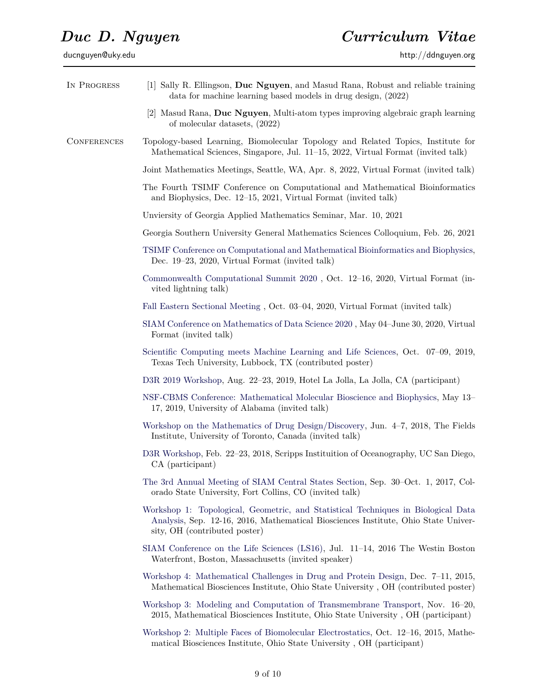| IN PROGRESS        | [1] Sally R. Ellingson, Duc Nguyen, and Masud Rana, Robust and reliable training<br>data for machine learning based models in drug design, (2022)                                                        |  |  |
|--------------------|----------------------------------------------------------------------------------------------------------------------------------------------------------------------------------------------------------|--|--|
|                    | [2] Masud Rana, Duc Nguyen, Multi-atom types improving algebraic graph learning<br>of molecular datasets, (2022)                                                                                         |  |  |
| <b>CONFERENCES</b> | Topology-based Learning, Biomolecular Topology and Related Topics, Institute for<br>Mathematical Sciences, Singapore, Jul. 11–15, 2022, Virtual Format (invited talk)                                    |  |  |
|                    | Joint Mathematics Meetings, Seattle, WA, Apr. 8, 2022, Virtual Format (invited talk)                                                                                                                     |  |  |
|                    | The Fourth TSIMF Conference on Computational and Mathematical Bioinformatics<br>and Biophysics, Dec. 12-15, 2021, Virtual Format (invited talk)                                                          |  |  |
|                    | Unviersity of Georgia Applied Mathematics Seminar, Mar. 10, 2021                                                                                                                                         |  |  |
|                    | Georgia Southern University General Mathematics Sciences Colloquium, Feb. 26, 2021                                                                                                                       |  |  |
|                    | TSIMF Conference on Computational and Mathematical Bioinformatics and Biophysics,<br>Dec. 19–23, 2020, Virtual Format (invited talk)                                                                     |  |  |
|                    | Commonwealth Computational Summit 2020, Oct. 12-16, 2020, Virtual Format (in-<br>vited lightning talk)                                                                                                   |  |  |
|                    | Fall Eastern Sectional Meeting, Oct. 03–04, 2020, Virtual Format (invited talk)                                                                                                                          |  |  |
|                    | SIAM Conference on Mathematics of Data Science 2020, May 04–June 30, 2020, Virtual<br>Format (invited talk)                                                                                              |  |  |
|                    | Scientific Computing meets Machine Learning and Life Sciences, Oct. 07–09, 2019,<br>Texas Tech University, Lubbock, TX (contributed poster)                                                              |  |  |
|                    | D3R 2019 Workshop, Aug. 22–23, 2019, Hotel La Jolla, La Jolla, CA (participant)                                                                                                                          |  |  |
|                    | NSF-CBMS Conference: Mathematical Molecular Bioscience and Biophysics, May 13–<br>17, 2019, University of Alabama (invited talk)                                                                         |  |  |
|                    | Workshop on the Mathematics of Drug Design/Discovery, Jun. 4-7, 2018, The Fields<br>Institute, University of Toronto, Canada (invited talk)                                                              |  |  |
|                    | D3R Workshop, Feb. 22–23, 2018, Scripps Institution of Oceanography, UC San Diego,<br>CA (participant)                                                                                                   |  |  |
|                    | The 3rd Annual Meeting of SIAM Central States Section, Sep. 30–Oct. 1, 2017, Col-<br>orado State University, Fort Collins, CO (invited talk)                                                             |  |  |
|                    | Workshop 1: Topological, Geometric, and Statistical Techniques in Biological Data<br>Analysis, Sep. 12-16, 2016, Mathematical Biosciences Institute, Ohio State Univer-<br>sity, OH (contributed poster) |  |  |
|                    | SIAM Conference on the Life Sciences (LS16), Jul. 11–14, 2016 The Westin Boston<br>Waterfront, Boston, Massachusetts (invited speaker)                                                                   |  |  |
|                    | Workshop 4: Mathematical Challenges in Drug and Protein Design, Dec. 7–11, 2015,<br>Mathematical Biosciences Institute, Ohio State University, OH (contributed poster)                                   |  |  |
|                    | Workshop 3: Modeling and Computation of Transmembrane Transport, Nov. 16–20,<br>2015, Mathematical Biosciences Institute, Ohio State University, OH (participant)                                        |  |  |
|                    | Workshop 2: Multiple Faces of Biomolecular Electrostatics, Oct. 12–16, 2015, Mathe-<br>matical Biosciences Institute, Ohio State University, OH (participant)                                            |  |  |